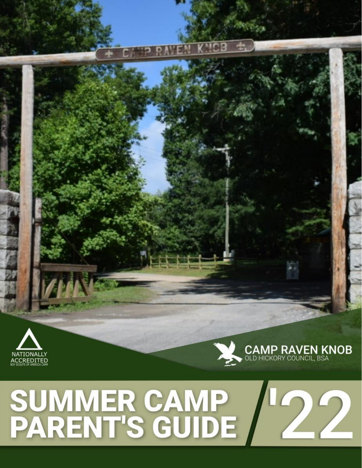



# <span id="page-0-0"></span>SUMMER CAMP<br>PARENT'S GUIDE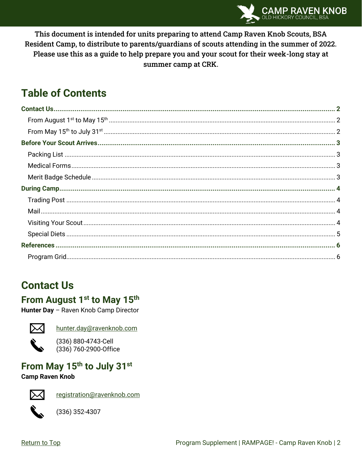

This document is intended for units preparing to attend Camp Raven Knob Scouts, BSA Resident Camp, to distribute to parents/guardians of scouts attending in the summer of 2022. Please use this as a guide to help prepare you and your scout for their week-long stay at summer camp at CRK.

# **Table of Contents**

# <span id="page-1-0"></span>**Contact Us**

#### <span id="page-1-1"></span>From August 1<sup>st</sup> to May 15<sup>th</sup>

Hunter Day - Raven Knob Camp Director



hunter.day@ravenknob.com



(336) 880-4743-Cell (336) 760-2900-Office

## <span id="page-1-2"></span>From May 15th to July 31st

#### **Camp Raven Knob**



registration@ravenknob.com



 $(336)$  352-4307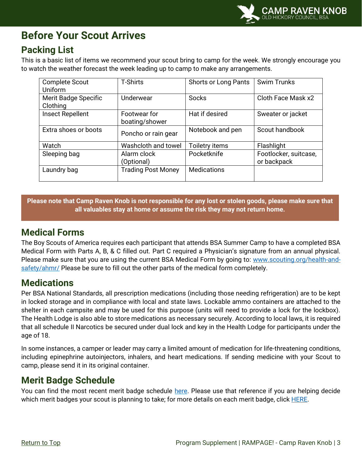

## <span id="page-2-0"></span>**Before Your Scout Arrives**

#### <span id="page-2-1"></span>**Packing List**

This is a basic list of items we recommend your scout bring to camp for the week. We strongly encourage you to watch the weather forecast the week leading up to camp to make any arrangements.

| <b>Complete Scout</b><br>Uniform        | <b>T-Shirts</b>                | <b>Shorts or Long Pants</b> | <b>Swim Trunks</b>                   |
|-----------------------------------------|--------------------------------|-----------------------------|--------------------------------------|
| <b>Merit Badge Specific</b><br>Clothing | Underwear                      | <b>Socks</b>                | Cloth Face Mask x2                   |
| <b>Insect Repellent</b>                 | Footwear for<br>boating/shower | Hat if desired              | Sweater or jacket                    |
| Extra shoes or boots                    | Poncho or rain gear            | Notebook and pen            | Scout handbook                       |
| Watch                                   | Washcloth and towel            | Toiletry items              | Flashlight                           |
| Sleeping bag                            | Alarm clock<br>(Optional)      | Pocketknife                 | Footlocker, suitcase,<br>or backpack |
| Laundry bag                             | <b>Trading Post Money</b>      | <b>Medications</b>          |                                      |

**Please note that Camp Raven Knob is not responsible for any lost or stolen goods, please make sure that all valuables stay at home or assume the risk they may not return home.**

#### <span id="page-2-2"></span>**Medical Forms**

The Boy Scouts of America requires each participant that attends BSA Summer Camp to have a completed BSA Medical Form with Parts A, B, & C filled out. Part C required a Physician's signature from an annual physical. Please make sure that you are using the current BSA Medical Form by going to: [www.scouting.org/health-and](http://www.scouting.org/health-and-safety/ahmr/)[safety/ahmr/](http://www.scouting.org/health-and-safety/ahmr/) Please be sure to fill out the other parts of the medical form completely.

#### **Medications**

Per BSA National Standards, all prescription medications (including those needing refrigeration) are to be kept in locked storage and in compliance with local and state laws. Lockable ammo containers are attached to the shelter in each campsite and may be used for this purpose (units will need to provide a lock for the lockbox). The Health Lodge is also able to store medications as necessary securely. According to local laws, it is required that all schedule II Narcotics be secured under dual lock and key in the Health Lodge for participants under the age of 18.

In some instances, a camper or leader may carry a limited amount of medication for life-threatening conditions, including epinephrine autoinjectors, inhalers, and heart medications. If sending medicine with your Scout to camp, please send it in its original container.

#### <span id="page-2-3"></span>**Merit Badge Schedule**

You can find the most recent merit badge schedule [here.](#page-5-1) Please use that reference if you are helping decide which merit badges your scout is planning to take; for more details on each merit badge, click [HERE.](https://www.ravenknob.com/program)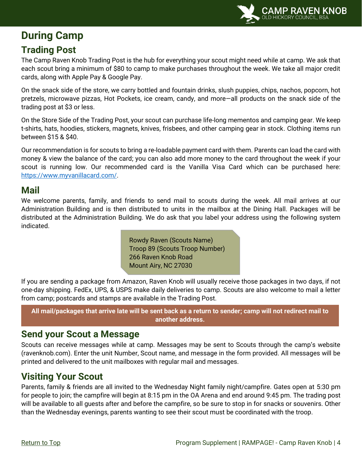

# <span id="page-3-0"></span>**During Camp**

#### <span id="page-3-1"></span>**Trading Post**

The Camp Raven Knob Trading Post is the hub for everything your scout might need while at camp. We ask that each scout bring a minimum of \$80 to camp to make purchases throughout the week. We take all major credit cards, along with Apple Pay & Google Pay.

On the snack side of the store, we carry bottled and fountain drinks, slush puppies, chips, nachos, popcorn, hot pretzels, microwave pizzas, Hot Pockets, ice cream, candy, and more—all products on the snack side of the trading post at \$3 or less.

On the Store Side of the Trading Post, your scout can purchase life-long mementos and camping gear. We keep t-shirts, hats, hoodies, stickers, magnets, knives, frisbees, and other camping gear in stock. Clothing items run between \$15 & \$40.

Our recommendation is for scouts to bring a re-loadable payment card with them. Parents can load the card with money & view the balance of the card; you can also add more money to the card throughout the week if your scout is running low. Our recommended card is the Vanilla Visa Card which can be purchased here: [https://www.myvanillacard.com/.](https://www.myvanillacard.com/)

#### <span id="page-3-2"></span>**Mail**

We welcome parents, family, and friends to send mail to scouts during the week. All mail arrives at our Administration Building and is then distributed to units in the mailbox at the Dining Hall. Packages will be distributed at the Administration Building. We do ask that you label your address using the following system indicated.

> Rowdy Raven (Scouts Name) Troop 89 (Scouts Troop Number) 266 Raven Knob Road Mount Airy, NC 27030

If you are sending a package from Amazon, Raven Knob will usually receive those packages in two days, if not one-day shipping. FedEx, UPS, & USPS make daily deliveries to camp. Scouts are also welcome to mail a letter from camp; postcards and stamps are available in the Trading Post.

**All mail/packages that arrive late will be sent back as a return to sender; camp will not redirect mail to another address.**

#### **Send your Scout a Message**

Scouts can receive messages while at camp. Messages may be sent to Scouts through the camp's website (ravenknob.com). Enter the unit Number, Scout name, and message in the form provided. All messages will be printed and delivered to the unit mailboxes with regular mail and messages.

#### <span id="page-3-3"></span>**Visiting Your Scout**

Parents, family & friends are all invited to the Wednesday Night family night/campfire. Gates open at 5:30 pm for people to join; the campfire will begin at 8:15 pm in the OA Arena and end around 9:45 pm. The trading post will be available to all guests after and before the campfire, so be sure to stop in for snacks or souvenirs. Other than the Wednesday evenings, parents wanting to see their scout must be coordinated with the troop.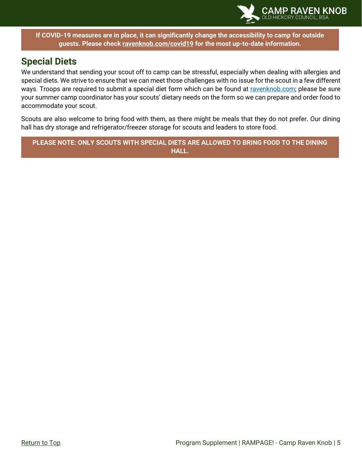

**If COVID-19 measures are in place, it can significantly change the accessibility to camp for outside guests. Please check [ravenknob.com/covid19](https://www.ravenknob.com/covid19) for the most up-to-date information.**

#### <span id="page-4-0"></span>**Special Diets**

We understand that sending your scout off to camp can be stressful, especially when dealing with allergies and special diets. We strive to ensure that we can meet those challenges with no issue for the scout in a few different ways. Troops are required to submit a special diet form which can be found at [ravenknob.com;](https://www.ravenknob.com/files/37316/Special-Diet-Form) please be sure your summer camp coordinator has your scouts' dietary needs on the form so we can prepare and order food to accommodate your scout.

Scouts are also welcome to bring food with them, as there might be meals that they do not prefer. Our dining hall has dry storage and refrigerator/freezer storage for scouts and leaders to store food.

**PLEASE NOTE: ONLY SCOUTS WITH SPECIAL DIETS ARE ALLOWED TO BRING FOOD TO THE DINING HALL.**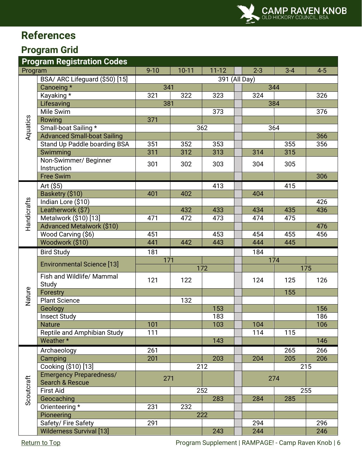# <span id="page-5-0"></span>**References**

#### <span id="page-5-1"></span>**Program Grid**

| <b>Program Registration Codes</b> |                                                   |               |         |           |     |         |         |         |  |
|-----------------------------------|---------------------------------------------------|---------------|---------|-----------|-----|---------|---------|---------|--|
| Program                           |                                                   | $9 - 10$      | $10-11$ | $11 - 12$ |     | $2 - 3$ | $3 - 4$ | $4 - 5$ |  |
|                                   | BSA/ ARC Lifeguard (\$50) [15]                    | 391 (All Day) |         |           |     |         |         |         |  |
|                                   | Canoeing *                                        | 341           |         |           | 344 |         |         |         |  |
|                                   | Kayaking *                                        | 321           | 322     | 323       |     | 324     |         | 326     |  |
|                                   | Lifesaving                                        | 381           |         |           |     |         | 384     |         |  |
|                                   | Mile Swim                                         |               |         | 373       |     |         |         | 376     |  |
| Aquatics                          | Rowing                                            | 371           |         |           |     |         |         |         |  |
|                                   | Small-boat Sailing *                              |               |         | 362       |     |         | 364     |         |  |
|                                   | <b>Advanced Small-boat Sailing</b>                |               |         |           |     |         |         | 366     |  |
|                                   | Stand Up Paddle boarding BSA                      | 351           | 352     | 353       |     |         | 355     | 356     |  |
|                                   | Swimming                                          | 311           | 312     | 313       |     | 314     | 315     |         |  |
|                                   | Non-Swimmer/ Beginner<br>Instruction              | 301           | 302     | 303       |     | 304     | 305     |         |  |
|                                   | <b>Free Swim</b>                                  |               |         |           |     |         |         | 306     |  |
|                                   |                                                   |               |         | 413       |     |         |         |         |  |
|                                   | Art $($ \$5)<br>Basketry (\$10)                   | 401           | 402     |           |     | 404     | 415     |         |  |
|                                   | Indian Lore (\$10)                                |               |         |           |     |         |         | 426     |  |
|                                   | Leatherwork (\$7)                                 |               | 432     | 433       |     | 434     | 435     | 436     |  |
|                                   | Metalwork (\$10) [13]                             | 471           | 472     | 473       |     | 474     | 475     |         |  |
| Handicrafts                       | <b>Advanced Metalwork (\$10)</b>                  |               |         |           |     |         |         | 476     |  |
|                                   | Wood Carving (\$6)                                | 451           |         | 453       |     | 454     | 455     | 456     |  |
|                                   | Woodwork (\$10)                                   | 441           | 442     | 443       |     | 444     | 445     |         |  |
|                                   | <b>Bird Study</b>                                 | 181           |         |           |     | 184     |         |         |  |
|                                   |                                                   | 171           |         |           |     | 174     |         |         |  |
|                                   | <b>Environmental Science [13]</b>                 |               |         | 172       |     |         |         | 175     |  |
|                                   | Fish and Wildlife/ Mammal<br>Study                | 121           | 122     |           |     | 124     | 125     | 126     |  |
| Nature                            | Forestry                                          |               |         |           |     |         | 155     |         |  |
|                                   | <b>Plant Science</b>                              |               | 132     |           |     |         |         |         |  |
|                                   | Geology                                           |               |         | 153       |     |         |         | 156     |  |
|                                   | <b>Insect Study</b>                               |               |         | 183       |     |         |         | 186     |  |
|                                   | <b>Nature</b>                                     | 101           |         | 103       |     | 104     |         | 106     |  |
|                                   | Reptile and Amphibian Study                       | 111           |         |           |     | 114     | 115     |         |  |
|                                   | Weather*                                          |               |         | 143       |     |         |         | 146     |  |
|                                   | Archaeology                                       | 261           |         |           |     |         | 265     | 266     |  |
|                                   | Camping                                           | 201           |         | 203       |     | 204     | 205     | 206     |  |
|                                   | Cooking (\$10) [13]                               |               |         | 212       |     |         | 215     |         |  |
| Scoutcraft                        | <b>Emergency Preparedness/</b><br>Search & Rescue | 271           |         |           |     | 274     |         |         |  |
|                                   | <b>First Aid</b>                                  |               |         | 252       |     |         |         | 255     |  |
|                                   | Geocaching                                        |               |         | 283       |     | 284     | 285     |         |  |
|                                   | Orienteering *                                    | 231           | 232     |           |     |         |         |         |  |
|                                   | Pioneering                                        |               |         | 222       |     |         |         |         |  |
|                                   | Safety/Fire Safety                                | 291           |         |           |     | 294     |         | 296     |  |
|                                   | <b>Wilderness Survival [13]</b>                   |               |         | 243       |     | 244     |         | 246     |  |

[Return to Top](#page-0-0) **Program Supplement | RAMPAGE!** - Camp Raven Knob | 6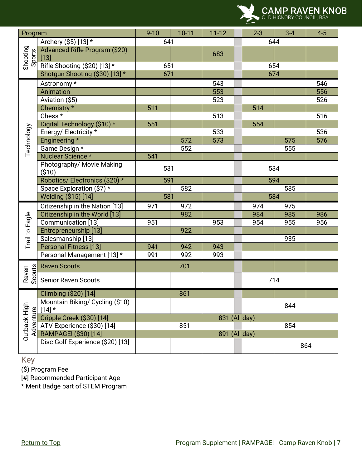

| Program                   |                                             | $9 - 10$      | $10 - 11$ | $11 - 12$     |     | $2 - 3$ | $3 - 4$ | $4 - 5$ |
|---------------------------|---------------------------------------------|---------------|-----------|---------------|-----|---------|---------|---------|
| Shooting<br>Sports        | Archery (\$5) [13] *                        | 641           |           |               |     | 644     |         |         |
|                           | Advanced Rifle Program (\$20)<br>$[13]$     |               |           | 683           |     |         |         |         |
|                           | Rifle Shooting (\$20) [13] *                | 651           |           |               |     | 654     |         |         |
|                           | Shotgun Shooting (\$30) [13] *              | 671           |           |               |     | 674     |         |         |
|                           | Astronomy *                                 |               |           | 543           |     |         |         | 546     |
|                           | Animation                                   |               |           | 553           |     |         |         | 556     |
|                           | Aviation (\$5)                              |               |           | 523           |     |         |         | 526     |
|                           | Chemistry *                                 | 511           |           |               |     | 514     |         |         |
|                           | Chess <sup>*</sup>                          |               |           | 513           |     |         |         | 516     |
|                           | Digital Technology (\$10) *                 | 551           |           |               |     | 554     |         |         |
| Technology                | Energy/Electricity*                         |               |           | 533           |     |         |         | 536     |
|                           | Engineering *                               |               | 572       | 573           |     |         | 575     | 576     |
|                           | Game Design *                               |               | 552       |               |     |         | 555     |         |
|                           | Nuclear Science *                           | 541           |           |               |     |         |         |         |
|                           | Photography/ Movie Making<br>( \$10)        | 531           |           |               |     | 534     |         |         |
|                           | Robotics/ Electronics (\$20) *              | 591           |           |               |     | 594     |         |         |
|                           | Space Exploration (\$7) *                   |               | 582       |               |     |         | 585     |         |
|                           | Welding (\$15) [14]                         | 581           |           |               | 584 |         |         |         |
|                           | Citizenship in the Nation [13]              | 971           | 972       |               |     | 974     | 975     |         |
|                           | Citizenship in the World [13]               |               | 982       |               |     | 984     | 985     | 986     |
|                           | Communication [13]                          | 951           |           | 953           |     | 954     | 955     | 956     |
| Trail to Eagle            | Entrepreneurship [13]                       |               | 922       |               |     |         |         |         |
|                           | Salesmanship [13]                           |               |           |               |     |         | 935     |         |
|                           | <b>Personal Fitness [13]</b>                | 941           | 942       | 943           |     |         |         |         |
|                           | Personal Management [13] *                  | 991           | 992       | 993           |     |         |         |         |
|                           | <b>Raven Scouts</b>                         |               | 701       |               |     |         |         |         |
| Scouts<br>Raven           | <b>Senior Raven Scouts</b>                  |               |           |               |     | 714     |         |         |
|                           | Climbing (\$20) [14]                        |               | 861       |               |     |         |         |         |
| Outback High<br>Adventure | Mountain Biking/ Cycling (\$10)<br>$[14]$ * |               |           |               |     | 844     |         |         |
|                           | Cripple Creek (\$30) [14]                   | 831 (All day) |           |               |     |         |         |         |
|                           | ATV Experience (\$30) [14]                  |               | 851       |               |     |         | 854     |         |
|                           | RAMPAGE! (\$30) [14]                        |               |           | 891 (All day) |     |         |         |         |
|                           | Disc Golf Experience (\$20) [13]            |               |           |               |     | 864     |         |         |

Key

(\$) Program Fee

[#] Recommended Participant Age

\* Merit Badge part of STEM Program